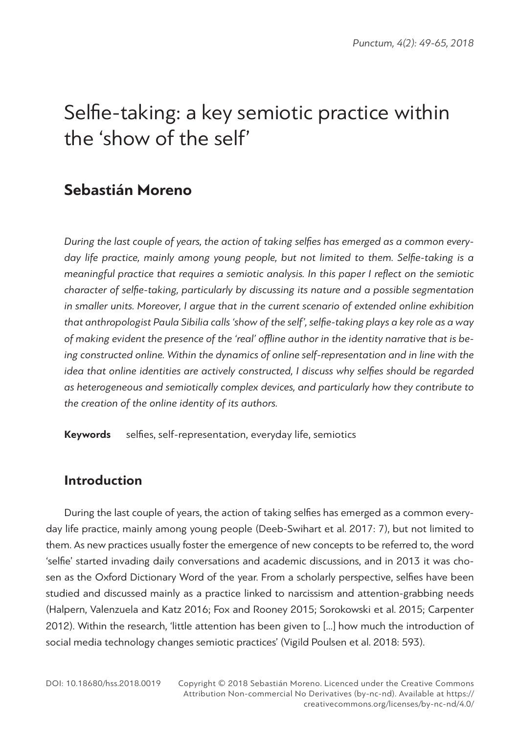# **Sebastián Moreno**

*During the last couple of years, the action of taking selfies has emerged as a common everyday life practice, mainly among young people, but not limited to them. Selfie-taking is a meaningful practice that requires a semiotic analysis. In this paper I reflect on the semiotic character of selfie-taking, particularly by discussing its nature and a possible segmentation in smaller units. Moreover, I argue that in the current scenario of extended online exhibition that anthropologist Paula Sibilia calls 'show of the self', selfie-taking plays a key role as a way of making evident the presence of the 'real' offline author in the identity narrative that is being constructed online. Within the dynamics of online self-representation and in line with the idea that online identities are actively constructed, I discuss why selfies should be regarded as heterogeneous and semiotically complex devices, and particularly how they contribute to the creation of the online identity of its authors.*

**Keywords** selfies, self-representation, everyday life, semiotics

# **Introduction**

During the last couple of years, the action of taking selfies has emerged as a common everyday life practice, mainly among young people (Deeb-Swihart et al. 2017: 7), but not limited to them. As new practices usually foster the emergence of new concepts to be referred to, the word 'selfie' started invading daily conversations and academic discussions, and in 2013 it was chosen as the Oxford Dictionary Word of the year. From a scholarly perspective, selfies have been studied and discussed mainly as a practice linked to narcissism and attention-grabbing needs (Halpern, Valenzuela and Katz 2016; Fox and Rooney 2015; Sorokowski et al. 2015; Carpenter 2012). Within the research, 'little attention has been given to […] how much the introduction of social media technology changes semiotic practices' (Vigild Poulsen et al. 2018: 593).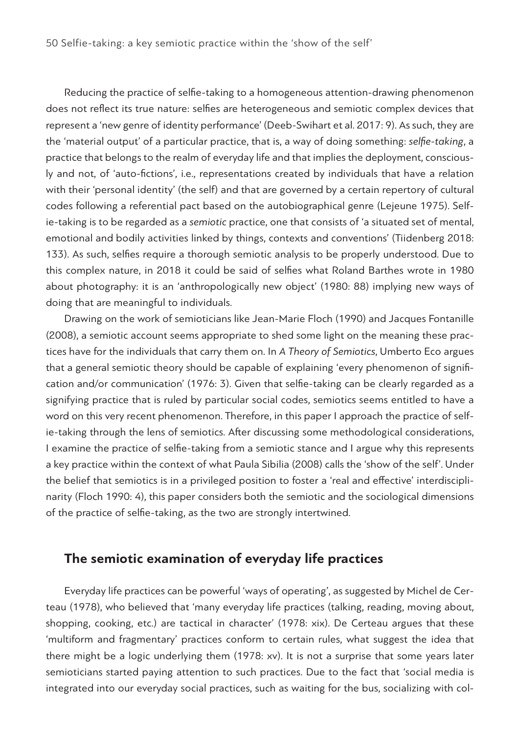Reducing the practice of selfie-taking to a homogeneous attention-drawing phenomenon does not reflect its true nature: selfies are heterogeneous and semiotic complex devices that represent a 'new genre of identity performance' (Deeb-Swihart et al. 2017: 9). As such, they are the 'material output' of a particular practice, that is, a way of doing something: *selfie-taking*, a practice that belongs to the realm of everyday life and that implies the deployment, consciously and not, of 'auto-fictions', i.e., representations created by individuals that have a relation with their 'personal identity' (the self) and that are governed by a certain repertory of cultural codes following a referential pact based on the autobiographical genre (Lejeune 1975). Selfie-taking is to be regarded as a *semiotic* practice, one that consists of 'a situated set of mental, emotional and bodily activities linked by things, contexts and conventions' (Tiidenberg 2018: 133). As such, selfies require a thorough semiotic analysis to be properly understood. Due to this complex nature, in 2018 it could be said of selfies what Roland Barthes wrote in 1980 about photography: it is an 'anthropologically new object' (1980: 88) implying new ways of doing that are meaningful to individuals.

Drawing on the work of semioticians like Jean-Marie Floch (1990) and Jacques Fontanille (2008), a semiotic account seems appropriate to shed some light on the meaning these practices have for the individuals that carry them on. In *A Theory of Semiotics*, Umberto Eco argues that a general semiotic theory should be capable of explaining 'every phenomenon of signification and/or communication' (1976: 3). Given that selfie-taking can be clearly regarded as a signifying practice that is ruled by particular social codes, semiotics seems entitled to have a word on this very recent phenomenon. Therefore, in this paper I approach the practice of selfie-taking through the lens of semiotics. After discussing some methodological considerations, I examine the practice of selfie-taking from a semiotic stance and I argue why this represents a key practice within the context of what Paula Sibilia (2008) calls the 'show of the self'. Under the belief that semiotics is in a privileged position to foster a 'real and effective' interdisciplinarity (Floch 1990: 4), this paper considers both the semiotic and the sociological dimensions of the practice of selfie-taking, as the two are strongly intertwined.

## **The semiotic examination of everyday life practices**

Everyday life practices can be powerful 'ways of operating', as suggested by Michel de Certeau (1978), who believed that 'many everyday life practices (talking, reading, moving about, shopping, cooking, etc.) are tactical in character' (1978: xix). De Certeau argues that these 'multiform and fragmentary' practices conform to certain rules, what suggest the idea that there might be a logic underlying them (1978: xv). It is not a surprise that some years later semioticians started paying attention to such practices. Due to the fact that 'social media is integrated into our everyday social practices, such as waiting for the bus, socializing with col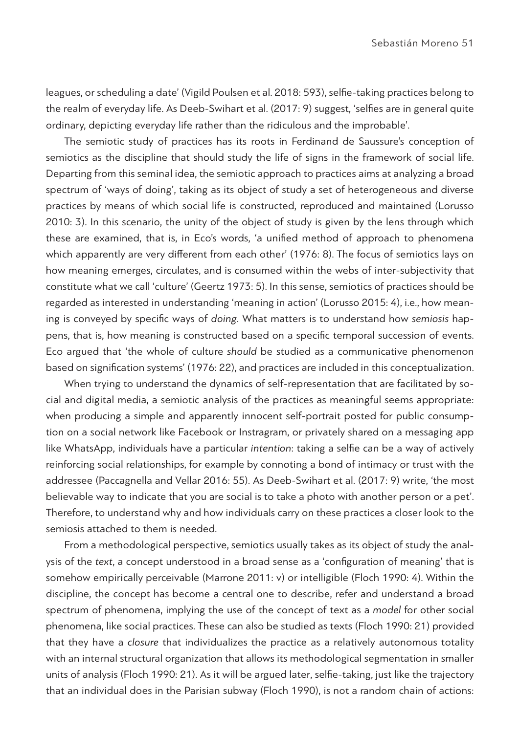leagues, or scheduling a date' (Vigild Poulsen et al. 2018: 593), selfie-taking practices belong to the realm of everyday life. As Deeb-Swihart et al. (2017: 9) suggest, 'selfies are in general quite ordinary, depicting everyday life rather than the ridiculous and the improbable'.

The semiotic study of practices has its roots in Ferdinand de Saussure's conception of semiotics as the discipline that should study the life of signs in the framework of social life. Departing from this seminal idea, the semiotic approach to practices aims at analyzing a broad spectrum of 'ways of doing', taking as its object of study a set of heterogeneous and diverse practices by means of which social life is constructed, reproduced and maintained (Lorusso 2010: 3). In this scenario, the unity of the object of study is given by the lens through which these are examined, that is, in Eco's words, 'a unified method of approach to phenomena which apparently are very different from each other' (1976: 8). The focus of semiotics lays on how meaning emerges, circulates, and is consumed within the webs of inter-subjectivity that constitute what we call 'culture' (Geertz 1973: 5). In this sense, semiotics of practices should be regarded as interested in understanding 'meaning in action' (Lorusso 2015: 4), i.e., how meaning is conveyed by specific ways of *doing*. What matters is to understand how *semiosis* happens, that is, how meaning is constructed based on a specific temporal succession of events. Eco argued that 'the whole of culture *should* be studied as a communicative phenomenon based on signification systems' (1976: 22), and practices are included in this conceptualization.

When trying to understand the dynamics of self-representation that are facilitated by social and digital media, a semiotic analysis of the practices as meaningful seems appropriate: when producing a simple and apparently innocent self-portrait posted for public consumption on a social network like Facebook or Instragram, or privately shared on a messaging app like WhatsApp, individuals have a particular *intention*: taking a selfie can be a way of actively reinforcing social relationships, for example by connoting a bond of intimacy or trust with the addressee (Paccagnella and Vellar 2016: 55). As Deeb-Swihart et al. (2017: 9) write, 'the most believable way to indicate that you are social is to take a photo with another person or a pet'. Therefore, to understand why and how individuals carry on these practices a closer look to the semiosis attached to them is needed.

From a methodological perspective, semiotics usually takes as its object of study the analysis of the *text*, a concept understood in a broad sense as a 'configuration of meaning' that is somehow empirically perceivable (Marrone 2011: v) or intelligible (Floch 1990: 4). Within the discipline, the concept has become a central one to describe, refer and understand a broad spectrum of phenomena, implying the use of the concept of text as a *model* for other social phenomena, like social practices. These can also be studied as texts (Floch 1990: 21) provided that they have a *closure* that individualizes the practice as a relatively autonomous totality with an internal structural organization that allows its methodological segmentation in smaller units of analysis (Floch 1990: 21). As it will be argued later, selfie-taking, just like the trajectory that an individual does in the Parisian subway (Floch 1990), is not a random chain of actions: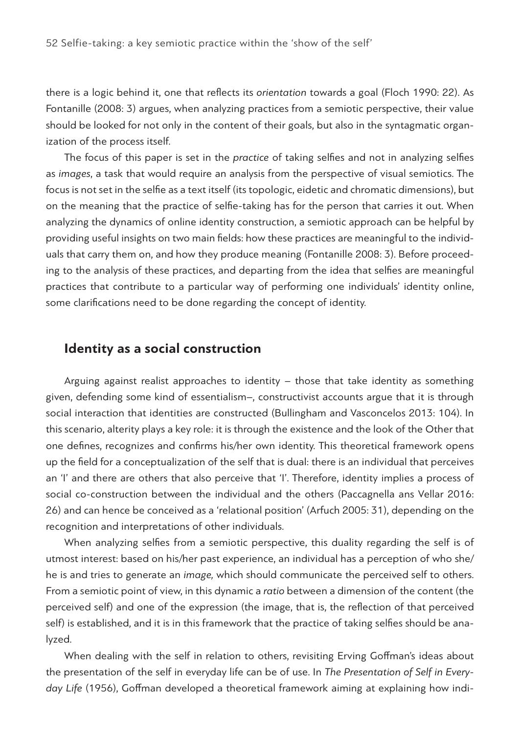there is a logic behind it, one that reflects its *orientation* towards a goal (Floch 1990: 22). As Fontanille (2008: 3) argues, when analyzing practices from a semiotic perspective, their value should be looked for not only in the content of their goals, but also in the syntagmatic organization of the process itself.

The focus of this paper is set in the *practice* of taking selfies and not in analyzing selfies as *images*, a task that would require an analysis from the perspective of visual semiotics. The focus is not set in the selfie as a text itself (its topologic, eidetic and chromatic dimensions), but on the meaning that the practice of selfie-taking has for the person that carries it out. When analyzing the dynamics of online identity construction, a semiotic approach can be helpful by providing useful insights on two main fields: how these practices are meaningful to the individuals that carry them on, and how they produce meaning (Fontanille 2008: 3). Before proceeding to the analysis of these practices, and departing from the idea that selfies are meaningful practices that contribute to a particular way of performing one individuals' identity online, some clarifications need to be done regarding the concept of identity.

## **Identity as a social construction**

Arguing against realist approaches to identity – those that take identity as something given, defending some kind of essentialism–, constructivist accounts argue that it is through social interaction that identities are constructed (Bullingham and Vasconcelos 2013: 104). In this scenario, alterity plays a key role: it is through the existence and the look of the Other that one defines, recognizes and confirms his/her own identity. This theoretical framework opens up the field for a conceptualization of the self that is dual: there is an individual that perceives an 'I' and there are others that also perceive that 'I'. Therefore, identity implies a process of social co-construction between the individual and the others (Paccagnella ans Vellar 2016: 26) and can hence be conceived as a 'relational position' (Arfuch 2005: 31), depending on the recognition and interpretations of other individuals.

When analyzing selfies from a semiotic perspective, this duality regarding the self is of utmost interest: based on his/her past experience, an individual has a perception of who she/ he is and tries to generate an *image,* which should communicate the perceived self to others. From a semiotic point of view, in this dynamic a *ratio* between a dimension of the content (the perceived self) and one of the expression (the image, that is, the reflection of that perceived self) is established, and it is in this framework that the practice of taking selfies should be analyzed.

When dealing with the self in relation to others, revisiting Erving Goffman's ideas about the presentation of the self in everyday life can be of use. In *The Presentation of Self in Everyday Life* (1956), Goffman developed a theoretical framework aiming at explaining how indi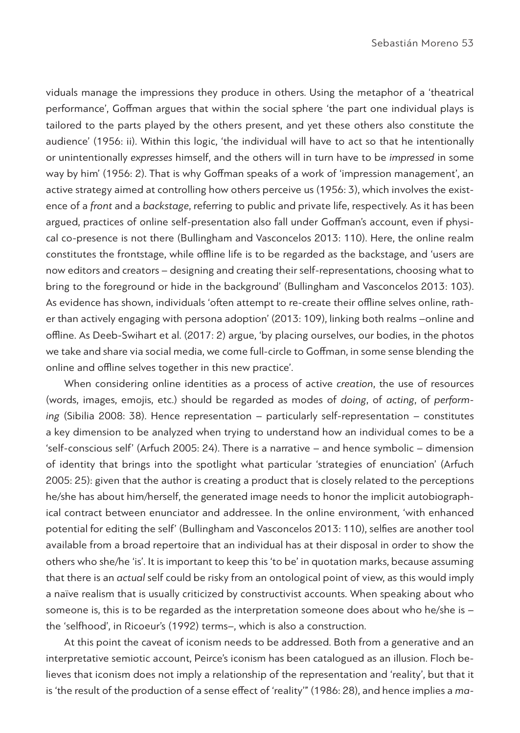viduals manage the impressions they produce in others. Using the metaphor of a 'theatrical performance', Goffman argues that within the social sphere 'the part one individual plays is tailored to the parts played by the others present, and yet these others also constitute the audience' (1956: ii). Within this logic, 'the individual will have to act so that he intentionally or unintentionally *expresses* himself, and the others will in turn have to be *impressed* in some way by him' (1956: 2). That is why Goffman speaks of a work of 'impression management', an active strategy aimed at controlling how others perceive us (1956: 3), which involves the existence of a *front* and a *backstage*, referring to public and private life, respectively. As it has been argued, practices of online self-presentation also fall under Goffman's account, even if physical co-presence is not there (Bullingham and Vasconcelos 2013: 110). Here, the online realm constitutes the frontstage, while offline life is to be regarded as the backstage, and 'users are now editors and creators – designing and creating their self-representations, choosing what to bring to the foreground or hide in the background' (Bullingham and Vasconcelos 2013: 103). As evidence has shown, individuals 'often attempt to re-create their offline selves online, rather than actively engaging with persona adoption' (2013: 109), linking both realms –online and offline. As Deeb-Swihart et al. (2017: 2) argue, 'by placing ourselves, our bodies, in the photos we take and share via social media, we come full-circle to Goffman, in some sense blending the online and offline selves together in this new practice'.

When considering online identities as a process of active *creation*, the use of resources (words, images, emojis, etc.) should be regarded as modes of *doing*, of *acting*, of *performing* (Sibilia 2008: 38). Hence representation – particularly self-representation – constitutes a key dimension to be analyzed when trying to understand how an individual comes to be a 'self-conscious self' (Arfuch 2005: 24). There is a narrative – and hence symbolic – dimension of identity that brings into the spotlight what particular 'strategies of enunciation' (Arfuch 2005: 25): given that the author is creating a product that is closely related to the perceptions he/she has about him/herself, the generated image needs to honor the implicit autobiographical contract between enunciator and addressee. In the online environment, 'with enhanced potential for editing the self' (Bullingham and Vasconcelos 2013: 110), selfies are another tool available from a broad repertoire that an individual has at their disposal in order to show the others who she/he 'is'. It is important to keep this 'to be' in quotation marks, because assuming that there is an *actual* self could be risky from an ontological point of view, as this would imply a naïve realism that is usually criticized by constructivist accounts. When speaking about who someone is, this is to be regarded as the interpretation someone does about who he/she is the 'selfhood', in Ricoeur's (1992) terms–, which is also a construction.

At this point the caveat of iconism needs to be addressed. Both from a generative and an interpretative semiotic account, Peirce's iconism has been catalogued as an illusion. Floch believes that iconism does not imply a relationship of the representation and 'reality', but that it is 'the result of the production of a sense effect of 'reality'" (1986: 28), and hence implies a *ma-*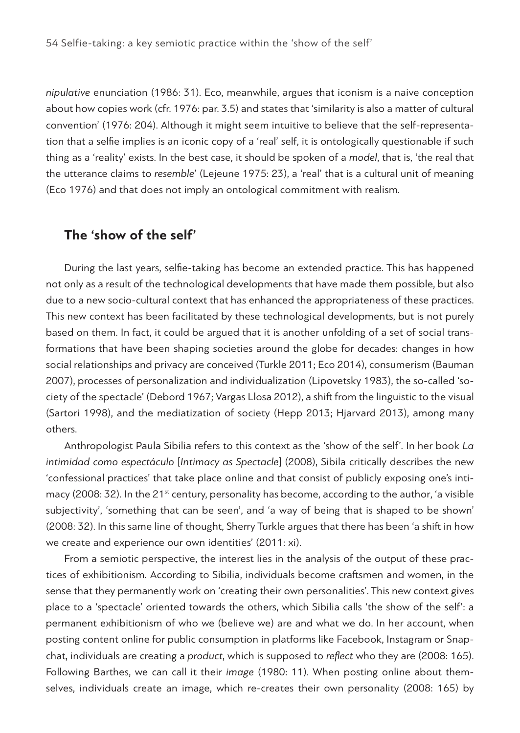*nipulative* enunciation (1986: 31). Eco, meanwhile, argues that iconism is a naive conception about how copies work (cfr. 1976: par. 3.5) and states that 'similarity is also a matter of cultural convention' (1976: 204). Although it might seem intuitive to believe that the self-representation that a selfie implies is an iconic copy of a 'real' self, it is ontologically questionable if such thing as a 'reality' exists. In the best case, it should be spoken of a *model*, that is, 'the real that the utterance claims to *resemble*' (Lejeune 1975: 23), a 'real' that is a cultural unit of meaning (Eco 1976) and that does not imply an ontological commitment with realism*.* 

#### **The 'show of the self'**

During the last years, selfie-taking has become an extended practice. This has happened not only as a result of the technological developments that have made them possible, but also due to a new socio-cultural context that has enhanced the appropriateness of these practices. This new context has been facilitated by these technological developments, but is not purely based on them. In fact, it could be argued that it is another unfolding of a set of social transformations that have been shaping societies around the globe for decades: changes in how social relationships and privacy are conceived (Turkle 2011; Eco 2014), consumerism (Bauman 2007), processes of personalization and individualization (Lipovetsky 1983), the so-called 'society of the spectacle' (Debord 1967; Vargas Llosa 2012), a shift from the linguistic to the visual (Sartori 1998), and the mediatization of society (Hepp 2013; Hjarvard 2013), among many others.

Anthropologist Paula Sibilia refers to this context as the 'show of the self'. In her book *La intimidad como espectáculo* [*Intimacy as Spectacle*] (2008), Sibila critically describes the new 'confessional practices' that take place online and that consist of publicly exposing one's intimacy (2008: 32). In the  $21^{st}$  century, personality has become, according to the author, 'a visible subjectivity', 'something that can be seen', and 'a way of being that is shaped to be shown' (2008: 32). In this same line of thought, Sherry Turkle argues that there has been 'a shift in how we create and experience our own identities' (2011: xi).

From a semiotic perspective, the interest lies in the analysis of the output of these practices of exhibitionism. According to Sibilia, individuals become craftsmen and women, in the sense that they permanently work on 'creating their own personalities'. This new context gives place to a 'spectacle' oriented towards the others, which Sibilia calls 'the show of the self': a permanent exhibitionism of who we (believe we) are and what we do. In her account, when posting content online for public consumption in platforms like Facebook, Instagram or Snapchat, individuals are creating a *product*, which is supposed to *reflect* who they are (2008: 165). Following Barthes, we can call it their *image* (1980: 11). When posting online about themselves, individuals create an image, which re-creates their own personality (2008: 165) by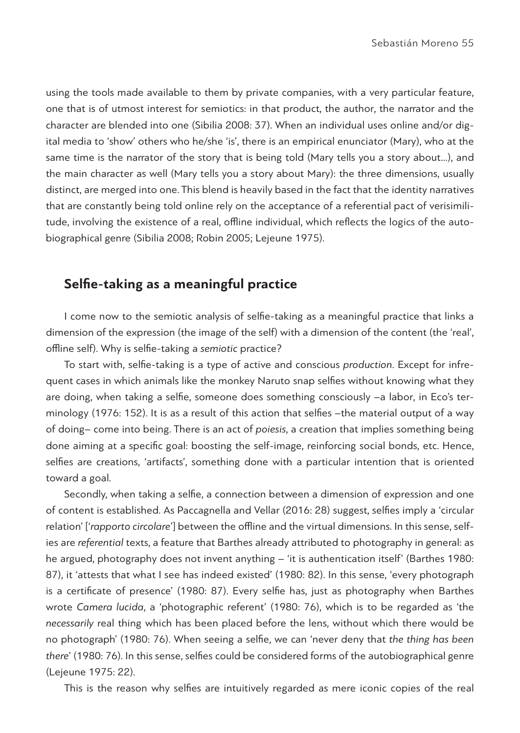using the tools made available to them by private companies, with a very particular feature, one that is of utmost interest for semiotics: in that product, the author, the narrator and the character are blended into one (Sibilia 2008: 37). When an individual uses online and/or digital media to 'show' others who he/she 'is', there is an empirical enunciator (Mary), who at the same time is the narrator of the story that is being told (Mary tells you a story about…), and the main character as well (Mary tells you a story about Mary): the three dimensions, usually distinct, are merged into one. This blend is heavily based in the fact that the identity narratives that are constantly being told online rely on the acceptance of a referential pact of verisimilitude, involving the existence of a real, offline individual, which reflects the logics of the autobiographical genre (Sibilia 2008; Robin 2005; Lejeune 1975).

# **Selfie-taking as a meaningful practice**

I come now to the semiotic analysis of selfie-taking as a meaningful practice that links a dimension of the expression (the image of the self) with a dimension of the content (the 'real', offline self). Why is selfie-taking a *semiotic* practice?

To start with, selfie-taking is a type of active and conscious *production*. Except for infrequent cases in which animals like the monkey Naruto snap selfies without knowing what they are doing, when taking a selfie, someone does something consciously –a labor, in Eco's terminology (1976: 152). It is as a result of this action that selfies –the material output of a way of doing– come into being. There is an act of *poiesis*, a creation that implies something being done aiming at a specific goal: boosting the self-image, reinforcing social bonds, etc. Hence, selfies are creations, 'artifacts', something done with a particular intention that is oriented toward a goal.

Secondly, when taking a selfie, a connection between a dimension of expression and one of content is established. As Paccagnella and Vellar (2016: 28) suggest, selfies imply a 'circular relation' ['*rapporto circolare*'] between the offline and the virtual dimensions. In this sense, selfies are *referential* texts, a feature that Barthes already attributed to photography in general: as he argued, photography does not invent anything – 'it is authentication itself' (Barthes 1980: 87), it 'attests that what I see has indeed existed' (1980: 82). In this sense, 'every photograph is a certificate of presence' (1980: 87). Every selfie has, just as photography when Barthes wrote *Camera lucida*, a 'photographic referent' (1980: 76), which is to be regarded as 'the *necessarily* real thing which has been placed before the lens, without which there would be no photograph' (1980: 76). When seeing a selfie, we can 'never deny that *the thing has been there*' (1980: 76). In this sense, selfies could be considered forms of the autobiographical genre (Lejeune 1975: 22).

This is the reason why selfies are intuitively regarded as mere iconic copies of the real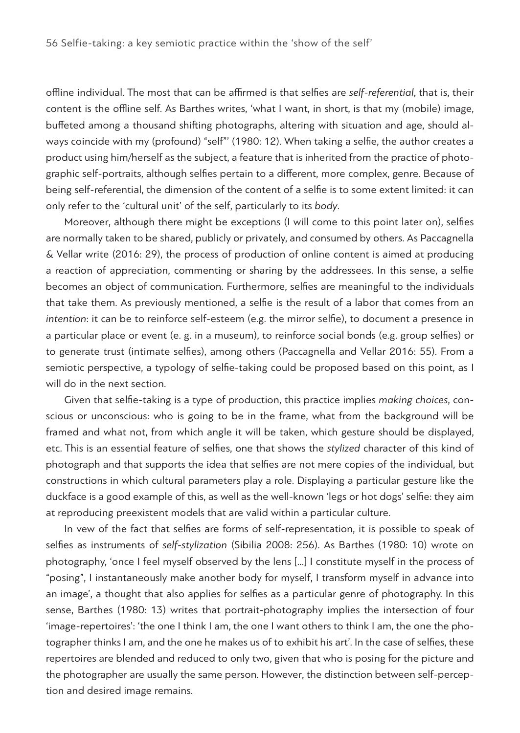offline individual. The most that can be affirmed is that selfies are *self-referential*, that is, their content is the offline self. As Barthes writes, 'what I want, in short, is that my (mobile) image, buffeted among a thousand shifting photographs, altering with situation and age, should always coincide with my (profound) "self"' (1980: 12). When taking a selfie, the author creates a product using him/herself as the subject, a feature that is inherited from the practice of photographic self-portraits, although selfies pertain to a different, more complex, genre. Because of being self-referential, the dimension of the content of a selfie is to some extent limited: it can only refer to the 'cultural unit' of the self, particularly to its *body*.

Moreover, although there might be exceptions (I will come to this point later on), selfies are normally taken to be shared, publicly or privately, and consumed by others. As Paccagnella & Vellar write (2016: 29), the process of production of online content is aimed at producing a reaction of appreciation, commenting or sharing by the addressees. In this sense, a selfie becomes an object of communication. Furthermore, selfies are meaningful to the individuals that take them. As previously mentioned, a selfie is the result of a labor that comes from an *intention*: it can be to reinforce self-esteem (e.g. the mirror selfie), to document a presence in a particular place or event (e. g. in a museum), to reinforce social bonds (e.g. group selfies) or to generate trust (intimate selfies), among others (Paccagnella and Vellar 2016: 55). From a semiotic perspective, a typology of selfie-taking could be proposed based on this point, as I will do in the next section.

Given that selfie-taking is a type of production, this practice implies *making choices*, conscious or unconscious: who is going to be in the frame, what from the background will be framed and what not, from which angle it will be taken, which gesture should be displayed, etc. This is an essential feature of selfies, one that shows the *stylized* character of this kind of photograph and that supports the idea that selfies are not mere copies of the individual, but constructions in which cultural parameters play a role. Displaying a particular gesture like the duckface is a good example of this, as well as the well-known 'legs or hot dogs' selfie: they aim at reproducing preexistent models that are valid within a particular culture.

In vew of the fact that selfies are forms of self-representation, it is possible to speak of selfies as instruments of *self-stylization* (Sibilia 2008: 256). As Barthes (1980: 10) wrote on photography, 'once I feel myself observed by the lens […] I constitute myself in the process of "posing", I instantaneously make another body for myself, I transform myself in advance into an image', a thought that also applies for selfies as a particular genre of photography. In this sense, Barthes (1980: 13) writes that portrait-photography implies the intersection of four 'image-repertoires': 'the one I think I am, the one I want others to think I am, the one the photographer thinks I am, and the one he makes us of to exhibit his art'. In the case of selfies, these repertoires are blended and reduced to only two, given that who is posing for the picture and the photographer are usually the same person. However, the distinction between self-perception and desired image remains.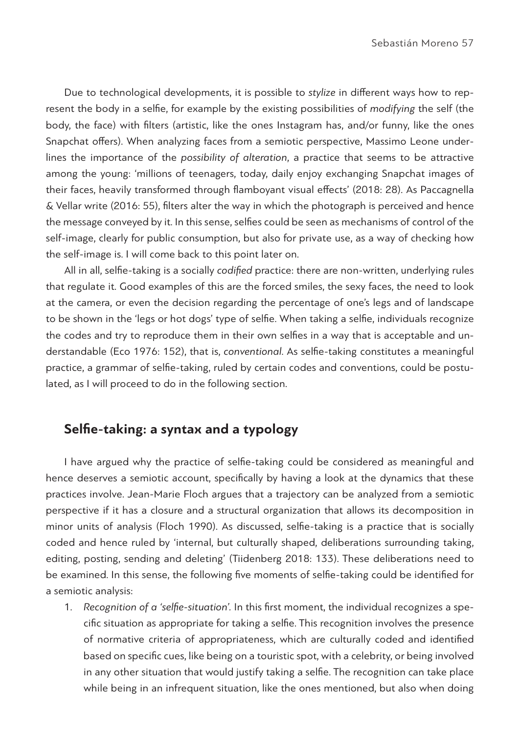Due to technological developments, it is possible to *stylize* in different ways how to represent the body in a selfie, for example by the existing possibilities of *modifying* the self (the body, the face) with filters (artistic, like the ones Instagram has, and/or funny, like the ones Snapchat offers). When analyzing faces from a semiotic perspective, Massimo Leone underlines the importance of the *possibility of alteration*, a practice that seems to be attractive among the young: 'millions of teenagers, today, daily enjoy exchanging Snapchat images of their faces, heavily transformed through flamboyant visual effects' (2018: 28). As Paccagnella & Vellar write (2016: 55), filters alter the way in which the photograph is perceived and hence the message conveyed by it. In this sense, selfies could be seen as mechanisms of control of the self-image, clearly for public consumption, but also for private use, as a way of checking how the self-image is. I will come back to this point later on.

All in all, selfie-taking is a socially *codified* practice: there are non-written, underlying rules that regulate it. Good examples of this are the forced smiles, the sexy faces, the need to look at the camera, or even the decision regarding the percentage of one's legs and of landscape to be shown in the 'legs or hot dogs' type of selfie. When taking a selfie, individuals recognize the codes and try to reproduce them in their own selfies in a way that is acceptable and understandable (Eco 1976: 152), that is, *conventional*. As selfie-taking constitutes a meaningful practice, a grammar of selfie-taking, ruled by certain codes and conventions, could be postulated, as I will proceed to do in the following section.

# **Selfie-taking: a syntax and a typology**

I have argued why the practice of selfie-taking could be considered as meaningful and hence deserves a semiotic account, specifically by having a look at the dynamics that these practices involve. Jean-Marie Floch argues that a trajectory can be analyzed from a semiotic perspective if it has a closure and a structural organization that allows its decomposition in minor units of analysis (Floch 1990). As discussed, selfie-taking is a practice that is socially coded and hence ruled by 'internal, but culturally shaped, deliberations surrounding taking, editing, posting, sending and deleting' (Tiidenberg 2018: 133). These deliberations need to be examined. In this sense, the following five moments of selfie-taking could be identified for a semiotic analysis:

1. *Recognition of a 'selfie-situation'.* In this first moment, the individual recognizes a specific situation as appropriate for taking a selfie. This recognition involves the presence of normative criteria of appropriateness, which are culturally coded and identified based on specific cues, like being on a touristic spot, with a celebrity, or being involved in any other situation that would justify taking a selfie. The recognition can take place while being in an infrequent situation, like the ones mentioned, but also when doing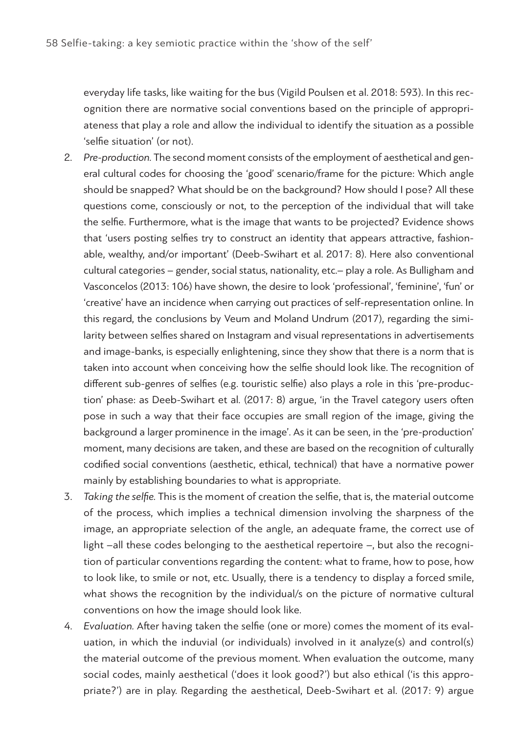everyday life tasks, like waiting for the bus (Vigild Poulsen et al. 2018: 593). In this recognition there are normative social conventions based on the principle of appropriateness that play a role and allow the individual to identify the situation as a possible 'selfie situation' (or not).

- 2. *Pre-production.* The second moment consists of the employment of aesthetical and general cultural codes for choosing the 'good' scenario/frame for the picture: Which angle should be snapped? What should be on the background? How should I pose? All these questions come, consciously or not, to the perception of the individual that will take the selfie. Furthermore, what is the image that wants to be projected? Evidence shows that 'users posting selfies try to construct an identity that appears attractive, fashionable, wealthy, and/or important' (Deeb-Swihart et al. 2017: 8). Here also conventional cultural categories – gender, social status, nationality, etc.– play a role. As Bulligham and Vasconcelos (2013: 106) have shown, the desire to look 'professional', 'feminine', 'fun' or 'creative' have an incidence when carrying out practices of self-representation online. In this regard, the conclusions by Veum and Moland Undrum (2017), regarding the similarity between selfies shared on Instagram and visual representations in advertisements and image-banks, is especially enlightening, since they show that there is a norm that is taken into account when conceiving how the selfie should look like. The recognition of different sub-genres of selfies (e.g. touristic selfie) also plays a role in this 'pre-production' phase: as Deeb-Swihart et al. (2017: 8) argue, 'in the Travel category users often pose in such a way that their face occupies are small region of the image, giving the background a larger prominence in the image'. As it can be seen, in the 'pre-production' moment, many decisions are taken, and these are based on the recognition of culturally codified social conventions (aesthetic, ethical, technical) that have a normative power mainly by establishing boundaries to what is appropriate.
- 3. *Taking the selfie.* This is the moment of creation the selfie, that is, the material outcome of the process, which implies a technical dimension involving the sharpness of the image, an appropriate selection of the angle, an adequate frame, the correct use of light –all these codes belonging to the aesthetical repertoire –, but also the recognition of particular conventions regarding the content: what to frame, how to pose, how to look like, to smile or not, etc. Usually, there is a tendency to display a forced smile, what shows the recognition by the individual/s on the picture of normative cultural conventions on how the image should look like.
- 4. *Evaluation.* After having taken the selfie (one or more) comes the moment of its evaluation, in which the induvial (or individuals) involved in it analyze(s) and control(s) the material outcome of the previous moment. When evaluation the outcome, many social codes, mainly aesthetical ('does it look good?') but also ethical ('is this appropriate?') are in play. Regarding the aesthetical, Deeb-Swihart et al. (2017: 9) argue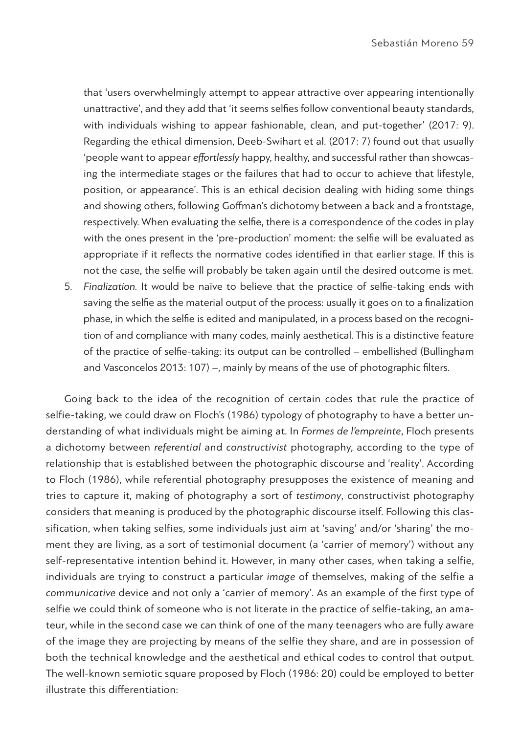that 'users overwhelmingly attempt to appear attractive over appearing intentionally unattractive', and they add that 'it seems selfies follow conventional beauty standards, with individuals wishing to appear fashionable, clean, and put-together' (2017: 9). Regarding the ethical dimension, Deeb-Swihart et al. (2017: 7) found out that usually 'people want to appear *effortlessly* happy, healthy, and successful rather than showcasing the intermediate stages or the failures that had to occur to achieve that lifestyle, position, or appearance'. This is an ethical decision dealing with hiding some things and showing others, following Goffman's dichotomy between a back and a frontstage, respectively. When evaluating the selfie, there is a correspondence of the codes in play with the ones present in the 'pre-production' moment: the selfie will be evaluated as appropriate if it reflects the normative codes identified in that earlier stage. If this is not the case, the selfie will probably be taken again until the desired outcome is met.

5. *Finalization.* It would be naïve to believe that the practice of selfie-taking ends with saving the selfie as the material output of the process: usually it goes on to a finalization phase, in which the selfie is edited and manipulated, in a process based on the recognition of and compliance with many codes, mainly aesthetical. This is a distinctive feature of the practice of selfie-taking: its output can be controlled – embellished (Bullingham and Vasconcelos 2013: 107) –, mainly by means of the use of photographic filters.

Going back to the idea of the recognition of certain codes that rule the practice of selfie-taking, we could draw on Floch's (1986) typology of photography to have a better understanding of what individuals might be aiming at. In *Formes de l'empreinte*, Floch presents a dichotomy between *referential* and *constructivist* photography, according to the type of relationship that is established between the photographic discourse and 'reality'. According to Floch (1986), while referential photography presupposes the existence of meaning and tries to capture it, making of photography a sort of *testimony*, constructivist photography considers that meaning is produced by the photographic discourse itself. Following this classification, when taking selfies, some individuals just aim at 'saving' and/or 'sharing' the moment they are living, as a sort of testimonial document (a 'carrier of memory') without any self-representative intention behind it. However, in many other cases, when taking a selfie, individuals are trying to construct a particular *image* of themselves, making of the selfie a *communicative* device and not only a 'carrier of memory'. As an example of the first type of selfie we could think of someone who is not literate in the practice of selfie-taking, an amateur, while in the second case we can think of one of the many teenagers who are fully aware of the image they are projecting by means of the selfie they share, and are in possession of both the technical knowledge and the aesthetical and ethical codes to control that output. The well-known semiotic square proposed by Floch (1986: 20) could be employed to better illustrate this differentiation: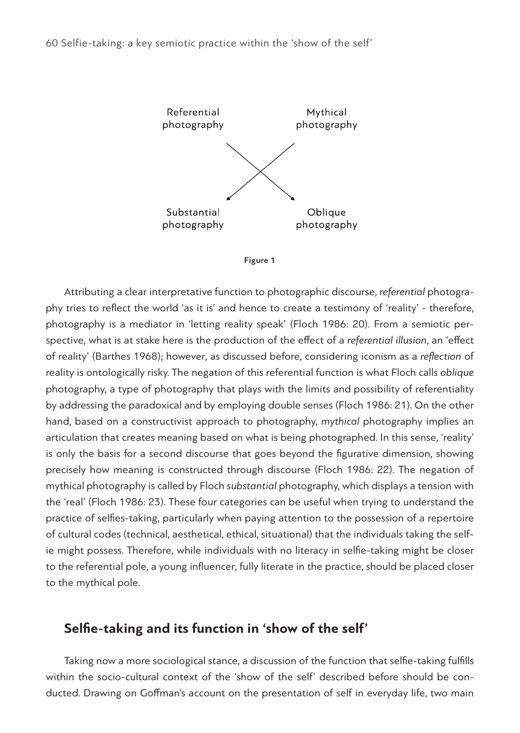



Attributing a clear interpretative function to photographic discourse, *referential* photography tries to reflect the world 'as it is' and hence to create a testimony of 'reality' - therefore, photography is a mediator in 'letting reality speak' (Floch 1986: 20). From a semiotic perspective, what is at stake here is the production of the effect of a *referential illusion*, an 'effect of reality' (Barthes 1968); however, as discussed before, considering iconism as a *reflection* of reality is ontologically risky. The negation of this referential function is what Floch calls *oblique* photography, a type of photography that plays with the limits and possibility of referentiality by addressing the paradoxical and by employing double senses (Floch 1986: 21). On the other hand, based on a constructivist approach to photography, *mythical* photography implies an articulation that creates meaning based on what is being photographed. In this sense, 'reality' is only the basis for a second discourse that goes beyond the figurative dimension, showing precisely how meaning is constructed through discourse (Floch 1986: 22). The negation of mythical photography is called by Floch *substantial* photography, which displays a tension with the 'real' (Floch 1986: 23). These four categories can be useful when trying to understand the practice of selfies-taking, particularly when paying attention to the possession of a repertoire of cultural codes (technical, aesthetical, ethical, situational) that the individuals taking the selfie might possess. Therefore, while individuals with no literacy in selfie-taking might be closer to the referential pole, a young influencer, fully literate in the practice, should be placed closer to the mythical pole.

## **Selfie-taking and its function in 'show of the self'**

Taking now a more sociological stance, a discussion of the function that selfie-taking fulfills within the socio-cultural context of the 'show of the self' described before should be conducted. Drawing on Goffman's account on the presentation of self in everyday life, two main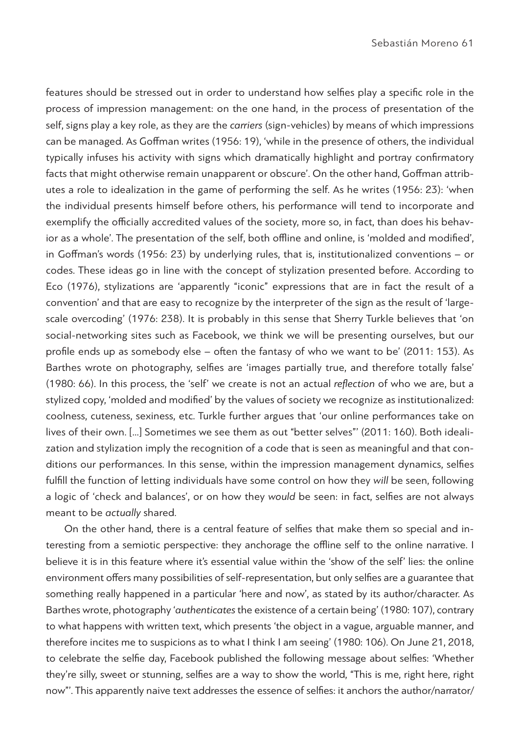features should be stressed out in order to understand how selfies play a specific role in the process of impression management: on the one hand, in the process of presentation of the self, signs play a key role, as they are the *carriers* (sign-vehicles) by means of which impressions can be managed. As Goffman writes (1956: 19), 'while in the presence of others, the individual typically infuses his activity with signs which dramatically highlight and portray confirmatory facts that might otherwise remain unapparent or obscure'. On the other hand, Goffman attributes a role to idealization in the game of performing the self. As he writes (1956: 23): 'when the individual presents himself before others, his performance will tend to incorporate and exemplify the officially accredited values of the society, more so, in fact, than does his behavior as a whole'. The presentation of the self, both offline and online, is 'molded and modified', in Goffman's words (1956: 23) by underlying rules, that is, institutionalized conventions – or codes. These ideas go in line with the concept of stylization presented before. According to Eco (1976), stylizations are 'apparently "iconic" expressions that are in fact the result of a convention' and that are easy to recognize by the interpreter of the sign as the result of 'largescale overcoding' (1976: 238). It is probably in this sense that Sherry Turkle believes that 'on social-networking sites such as Facebook, we think we will be presenting ourselves, but our profile ends up as somebody else – often the fantasy of who we want to be' (2011: 153). As Barthes wrote on photography, selfies are 'images partially true, and therefore totally false' (1980: 66). In this process, the 'self' we create is not an actual *reflection* of who we are, but a stylized copy, 'molded and modified' by the values of society we recognize as institutionalized: coolness, cuteness, sexiness, etc. Turkle further argues that 'our online performances take on lives of their own. […] Sometimes we see them as out "better selves"' (2011: 160). Both idealization and stylization imply the recognition of a code that is seen as meaningful and that conditions our performances. In this sense, within the impression management dynamics, selfies fulfill the function of letting individuals have some control on how they *will* be seen, following a logic of 'check and balances', or on how they *would* be seen: in fact, selfies are not always meant to be *actually* shared.

On the other hand, there is a central feature of selfies that make them so special and interesting from a semiotic perspective: they anchorage the offline self to the online narrative. I believe it is in this feature where it's essential value within the 'show of the self' lies: the online environment offers many possibilities of self-representation, but only selfies are a guarantee that something really happened in a particular 'here and now', as stated by its author/character. As Barthes wrote, photography '*authenticates* the existence of a certain being' (1980: 107), contrary to what happens with written text, which presents 'the object in a vague, arguable manner, and therefore incites me to suspicions as to what I think I am seeing' (1980: 106). On June 21, 2018, to celebrate the selfie day, Facebook published the following message about selfies: 'Whether they're silly, sweet or stunning, selfies are a way to show the world, "This is me, right here, right now"'. This apparently naive text addresses the essence of selfies: it anchors the author/narrator/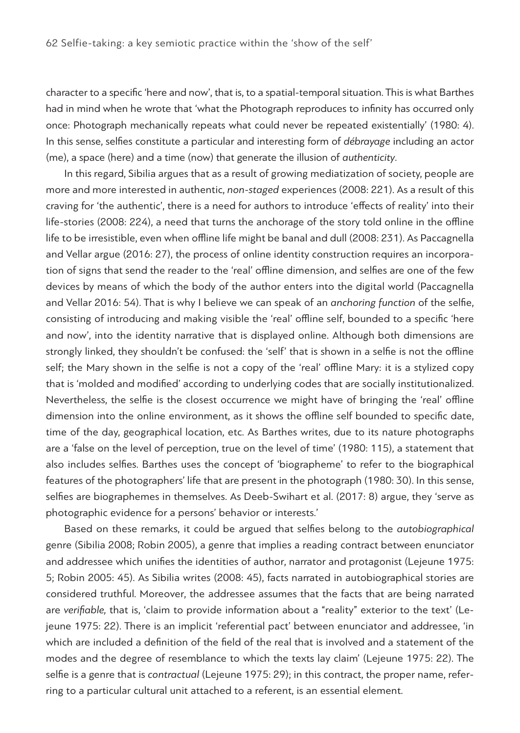character to a specific 'here and now', that is, to a spatial-temporal situation. This is what Barthes had in mind when he wrote that 'what the Photograph reproduces to infinity has occurred only once: Photograph mechanically repeats what could never be repeated existentially' (1980: 4). In this sense, selfies constitute a particular and interesting form of *débrayage* including an actor (me), a space (here) and a time (now) that generate the illusion of *authenticity*.

In this regard, Sibilia argues that as a result of growing mediatization of society, people are more and more interested in authentic, *non-staged* experiences (2008: 221). As a result of this craving for 'the authentic', there is a need for authors to introduce 'effects of reality' into their life-stories (2008: 224), a need that turns the anchorage of the story told online in the offline life to be irresistible, even when offline life might be banal and dull (2008: 231). As Paccagnella and Vellar argue (2016: 27), the process of online identity construction requires an incorporation of signs that send the reader to the 'real' offline dimension, and selfies are one of the few devices by means of which the body of the author enters into the digital world (Paccagnella and Vellar 2016: 54). That is why I believe we can speak of an *anchoring function* of the selfie, consisting of introducing and making visible the 'real' offline self, bounded to a specific 'here and now', into the identity narrative that is displayed online. Although both dimensions are strongly linked, they shouldn't be confused: the 'self' that is shown in a selfie is not the offline self; the Mary shown in the selfie is not a copy of the 'real' offline Mary: it is a stylized copy that is 'molded and modified' according to underlying codes that are socially institutionalized. Nevertheless, the selfie is the closest occurrence we might have of bringing the 'real' offline dimension into the online environment, as it shows the offline self bounded to specific date, time of the day, geographical location, etc. As Barthes writes, due to its nature photographs are a 'false on the level of perception, true on the level of time' (1980: 115), a statement that also includes selfies. Barthes uses the concept of 'biographeme' to refer to the biographical features of the photographers' life that are present in the photograph (1980: 30). In this sense, selfies are biographemes in themselves. As Deeb-Swihart et al. (2017: 8) argue, they 'serve as photographic evidence for a persons' behavior or interests.'

Based on these remarks, it could be argued that selfies belong to the *autobiographical* genre (Sibilia 2008; Robin 2005), a genre that implies a reading contract between enunciator and addressee which unifies the identities of author, narrator and protagonist (Lejeune 1975: 5; Robin 2005: 45). As Sibilia writes (2008: 45), facts narrated in autobiographical stories are considered truthful. Moreover, the addressee assumes that the facts that are being narrated are *verifiable,* that is, 'claim to provide information about a "reality" exterior to the text' (Lejeune 1975: 22). There is an implicit 'referential pact' between enunciator and addressee, 'in which are included a definition of the field of the real that is involved and a statement of the modes and the degree of resemblance to which the texts lay claim' (Lejeune 1975: 22). The selfie is a genre that is *contractual* (Lejeune 1975: 29); in this contract, the proper name, referring to a particular cultural unit attached to a referent, is an essential element.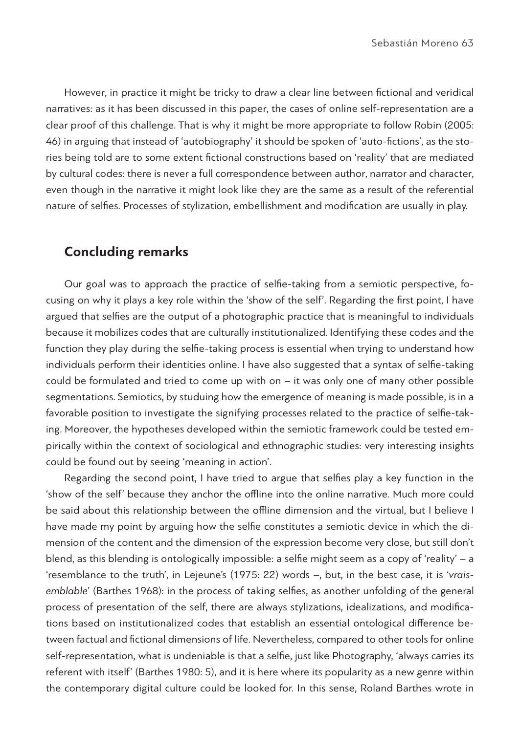However, in practice it might be tricky to draw a clear line between fictional and veridical narratives: as it has been discussed in this paper, the cases of online self-representation are a clear proof of this challenge. That is why it might be more appropriate to follow Robin (2005: 46) in arguing that instead of 'autobiography' it should be spoken of 'auto-fictions', as the stories being told are to some extent fictional constructions based on 'reality' that are mediated by cultural codes: there is never a full correspondence between author, narrator and character, even though in the narrative it might look like they are the same as a result of the referential nature of selfies. Processes of stylization, embellishment and modification are usually in play.

# **Concluding remarks**

Our goal was to approach the practice of selfie-taking from a semiotic perspective, focusing on why it plays a key role within the 'show of the self'. Regarding the first point, I have argued that selfies are the output of a photographic practice that is meaningful to individuals because it mobilizes codes that are culturally institutionalized. Identifying these codes and the function they play during the selfie-taking process is essential when trying to understand how individuals perform their identities online. I have also suggested that a syntax of selfie-taking could be formulated and tried to come up with on – it was only one of many other possible segmentations. Semiotics, by studuing how the emergence of meaning is made possible, is in a favorable position to investigate the signifying processes related to the practice of selfie-taking. Moreover, the hypotheses developed within the semiotic framework could be tested empirically within the context of sociological and ethnographic studies: very interesting insights could be found out by seeing 'meaning in action'.

Regarding the second point, I have tried to argue that selfies play a key function in the 'show of the self' because they anchor the offline into the online narrative. Much more could be said about this relationship between the offline dimension and the virtual, but I believe I have made my point by arguing how the selfie constitutes a semiotic device in which the dimension of the content and the dimension of the expression become very close, but still don't blend, as this blending is ontologically impossible: a selfie might seem as a copy of 'reality' – a 'resemblance to the truth', in Lejeune's (1975: 22) words –, but, in the best case, it is '*vraisemblable*' (Barthes 1968): in the process of taking selfies, as another unfolding of the general process of presentation of the self, there are always stylizations, idealizations, and modifications based on institutionalized codes that establish an essential ontological difference between factual and fictional dimensions of life. Nevertheless, compared to other tools for online self-representation, what is undeniable is that a selfie, just like Photography, 'always carries its referent with itself' (Barthes 1980: 5), and it is here where its popularity as a new genre within the contemporary digital culture could be looked for. In this sense, Roland Barthes wrote in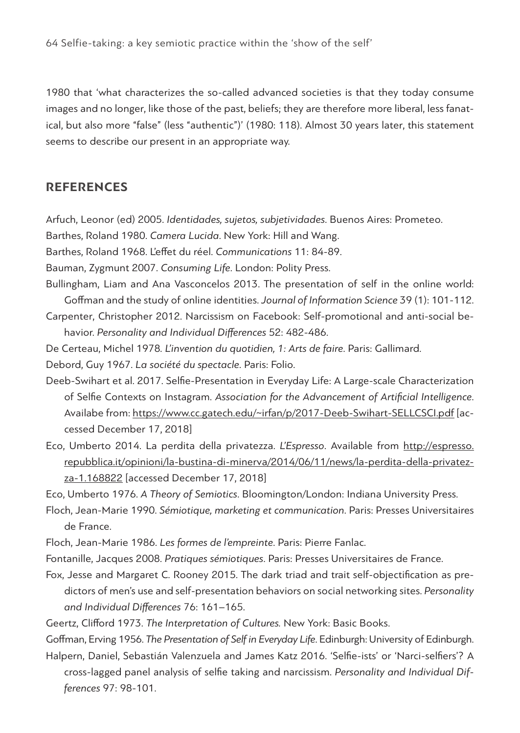1980 that 'what characterizes the so-called advanced societies is that they today consume images and no longer, like those of the past, beliefs; they are therefore more liberal, less fanatical, but also more "false" (less "authentic")' (1980: 118). Almost 30 years later, this statement seems to describe our present in an appropriate way.

#### **REFERENCES**

- Arfuch, Leonor (ed) 2005. *Identidades, sujetos, subjetividades*. Buenos Aires: Prometeo.
- Barthes, Roland 1980. *Camera Lucida*. New York: Hill and Wang.
- Barthes, Roland 1968. L'effet du réel. *Communications* 11: 84-89.
- Bauman, Zygmunt 2007. *Consuming Life*. London: Polity Press.
- Bullingham, Liam and Ana Vasconcelos 2013. The presentation of self in the online world: Goffman and the study of online identities. *Journal of Information Science* 39 (1): 101-112.
- Carpenter, Christopher 2012. Narcissism on Facebook: Self-promotional and anti-social behavior. *Personality and Individual Differences* 52: 482-486.
- De Certeau, Michel 1978*. L'invention du quotidien, 1: Arts de faire*. Paris: Gallimard.
- Debord, Guy 1967. *La société du spectacle*. Paris: Folio.
- Deeb-Swihart et al. 2017. Selfie-Presentation in Everyday Life: A Large-scale Characterization of Selfie Contexts on Instagram. *Association for the Advancement of Artificial Intelligence*. Availabe from: https://www.cc.gatech.edu/~irfan/p/2017-Deeb-Swihart-SELLCSCI.pdf [accessed December 17, 2018]
- Eco, Umberto 2014. La perdita della privatezza. *L'Espresso*. Available from http://espresso. repubblica.it/opinioni/la-bustina-di-minerva/2014/06/11/news/la-perdita-della-privatezza-1.168822 [accessed December 17, 2018]
- Eco, Umberto 1976. *A Theory of Semiotics*. Bloomington/London: Indiana University Press.
- Floch, Jean-Marie 1990. *Sémiotique, marketing et communication*. Paris: Presses Universitaires de France.
- Floch, Jean-Marie 1986. *Les formes de l'empreinte*. Paris: Pierre Fanlac.
- Fontanille, Jacques 2008. *Pratiques sémiotiques*. Paris: Presses Universitaires de France.
- Fox, Jesse and Margaret C. Rooney 2015. The dark triad and trait self-objectification as predictors of men's use and self-presentation behaviors on social networking sites. *Personality and Individual Differences* 76: 161–165.
- Geertz, Clifford 1973. *The Interpretation of Cultures.* New York: Basic Books.

Goffman, Erving 1956. *The Presentation of Self in Everyday Life*. Edinburgh: University of Edinburgh. Halpern, Daniel, Sebastián Valenzuela and James Katz 2016. 'Selfie-ists' or 'Narci-selfiers'? A

cross-lagged panel analysis of selfie taking and narcissism. *Personality and Individual Differences* 97: 98-101.